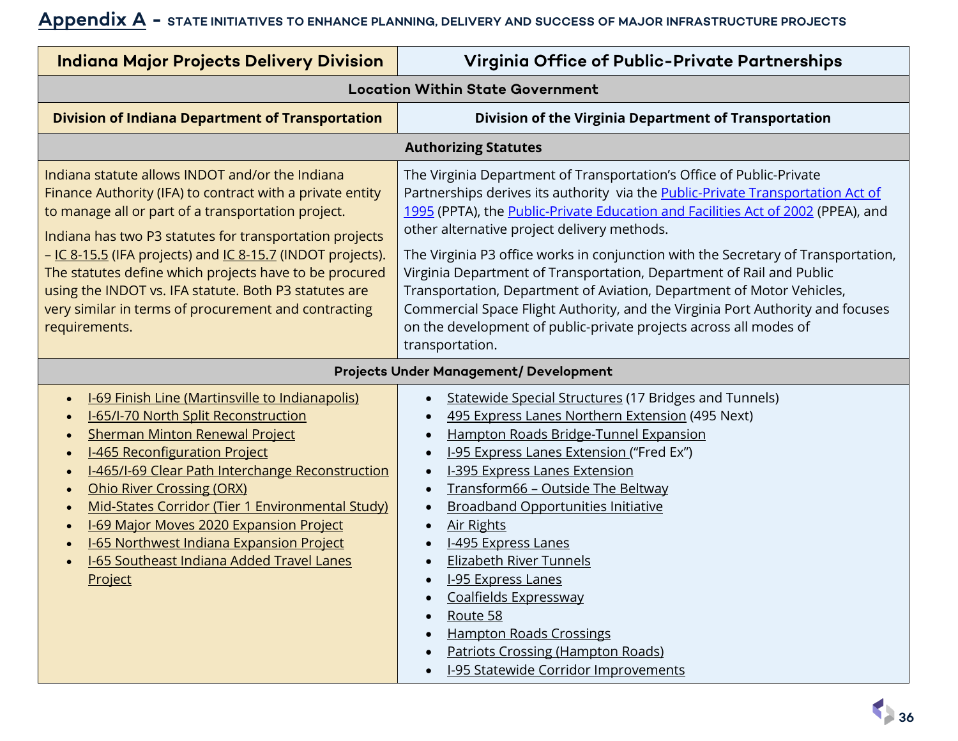## **Appendix A - STATE INITIATIVES TO ENHANCE PLANNING, DELIVERY AND SUCCESS OF MAJOR INFRASTRUCTURE PROJECTS**

| <b>Indiana Major Projects Delivery Division</b>                                                                                                                                                                                                                                                                                                                                                                                                                                                                                                                                     | Virginia Office of Public-Private Partnerships                                                                                                                                                                                                                                                                                                                                                                                                                                                                                                                                                                                                                                                                    |
|-------------------------------------------------------------------------------------------------------------------------------------------------------------------------------------------------------------------------------------------------------------------------------------------------------------------------------------------------------------------------------------------------------------------------------------------------------------------------------------------------------------------------------------------------------------------------------------|-------------------------------------------------------------------------------------------------------------------------------------------------------------------------------------------------------------------------------------------------------------------------------------------------------------------------------------------------------------------------------------------------------------------------------------------------------------------------------------------------------------------------------------------------------------------------------------------------------------------------------------------------------------------------------------------------------------------|
| <b>Location Within State Government</b>                                                                                                                                                                                                                                                                                                                                                                                                                                                                                                                                             |                                                                                                                                                                                                                                                                                                                                                                                                                                                                                                                                                                                                                                                                                                                   |
| <b>Division of Indiana Department of Transportation</b>                                                                                                                                                                                                                                                                                                                                                                                                                                                                                                                             | Division of the Virginia Department of Transportation                                                                                                                                                                                                                                                                                                                                                                                                                                                                                                                                                                                                                                                             |
| <b>Authorizing Statutes</b>                                                                                                                                                                                                                                                                                                                                                                                                                                                                                                                                                         |                                                                                                                                                                                                                                                                                                                                                                                                                                                                                                                                                                                                                                                                                                                   |
| Indiana statute allows INDOT and/or the Indiana<br>Finance Authority (IFA) to contract with a private entity<br>to manage all or part of a transportation project.<br>Indiana has two P3 statutes for transportation projects<br>- IC 8-15.5 (IFA projects) and IC 8-15.7 (INDOT projects).<br>The statutes define which projects have to be procured<br>using the INDOT vs. IFA statute. Both P3 statutes are<br>very similar in terms of procurement and contracting<br>requirements.                                                                                             | The Virginia Department of Transportation's Office of Public-Private<br>Partnerships derives its authority via the <b>Public-Private Transportation Act of</b><br>1995 (PPTA), the Public-Private Education and Facilities Act of 2002 (PPEA), and<br>other alternative project delivery methods.<br>The Virginia P3 office works in conjunction with the Secretary of Transportation,<br>Virginia Department of Transportation, Department of Rail and Public<br>Transportation, Department of Aviation, Department of Motor Vehicles,<br>Commercial Space Flight Authority, and the Virginia Port Authority and focuses<br>on the development of public-private projects across all modes of<br>transportation. |
| <b>Projects Under Management/ Development</b>                                                                                                                                                                                                                                                                                                                                                                                                                                                                                                                                       |                                                                                                                                                                                                                                                                                                                                                                                                                                                                                                                                                                                                                                                                                                                   |
| <b>I-69 Finish Line (Martinsville to Indianapolis)</b><br>$\bullet$<br><b>I-65/I-70 North Split Reconstruction</b><br><b>Sherman Minton Renewal Project</b><br>I-465 Reconfiguration Project<br>$\bullet$<br>I-465/I-69 Clear Path Interchange Reconstruction<br><b>Ohio River Crossing (ORX)</b><br>$\bullet$<br>Mid-States Corridor (Tier 1 Environmental Study)<br>$\bullet$<br>I-69 Major Moves 2020 Expansion Project<br>$\bullet$<br><b>I-65 Northwest Indiana Expansion Project</b><br>$\bullet$<br><b>I-65 Southeast Indiana Added Travel Lanes</b><br>$\bullet$<br>Project | Statewide Special Structures (17 Bridges and Tunnels)<br>495 Express Lanes Northern Extension (495 Next)<br>$\bullet$<br>Hampton Roads Bridge-Tunnel Expansion<br>$\bullet$<br>I-95 Express Lanes Extension ("Fred Ex")<br>$\bullet$<br><b>I-395 Express Lanes Extension</b><br>Transform66 - Outside The Beltway<br>$\bullet$<br><b>Broadband Opportunities Initiative</b><br><b>Air Rights</b><br>$\bullet$<br><b>I-495 Express Lanes</b><br><b>Elizabeth River Tunnels</b><br><b>I-95 Express Lanes</b><br>Coalfields Expressway<br>$\bullet$<br>Route 58<br><b>Hampton Roads Crossings</b><br><b>Patriots Crossing (Hampton Roads)</b><br><b>I-95 Statewide Corridor Improvements</b>                         |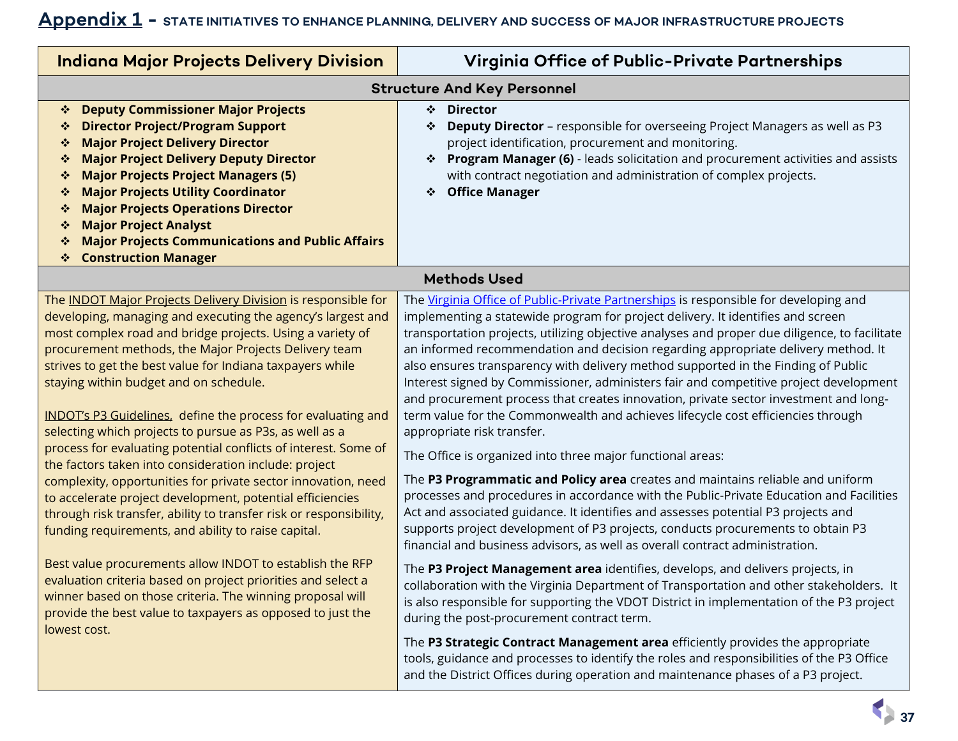## **Appendix 1 - STATE INITIATIVES TO ENHANCE PLANNING, DELIVERY AND SUCCESS OF MAJOR INFRASTRUCTURE PROJECTS**

| <b>Indiana Major Projects Delivery Division</b>                                                                                                                                                                                                                                                                                                                                                                                                                                                                                                                                                                                                                                                                                                                                                                                                                                                                                                 | Virginia Office of Public-Private Partnerships                                                                                                                                                                                                                                                                                                                                                                                                                                                                                                                                                                                                                                                                                                                                                                                                                                                                                                                                                                                                                                                                                                                                                                                                                                                                                             |
|-------------------------------------------------------------------------------------------------------------------------------------------------------------------------------------------------------------------------------------------------------------------------------------------------------------------------------------------------------------------------------------------------------------------------------------------------------------------------------------------------------------------------------------------------------------------------------------------------------------------------------------------------------------------------------------------------------------------------------------------------------------------------------------------------------------------------------------------------------------------------------------------------------------------------------------------------|--------------------------------------------------------------------------------------------------------------------------------------------------------------------------------------------------------------------------------------------------------------------------------------------------------------------------------------------------------------------------------------------------------------------------------------------------------------------------------------------------------------------------------------------------------------------------------------------------------------------------------------------------------------------------------------------------------------------------------------------------------------------------------------------------------------------------------------------------------------------------------------------------------------------------------------------------------------------------------------------------------------------------------------------------------------------------------------------------------------------------------------------------------------------------------------------------------------------------------------------------------------------------------------------------------------------------------------------|
| <b>Structure And Key Personnel</b>                                                                                                                                                                                                                                                                                                                                                                                                                                                                                                                                                                                                                                                                                                                                                                                                                                                                                                              |                                                                                                                                                                                                                                                                                                                                                                                                                                                                                                                                                                                                                                                                                                                                                                                                                                                                                                                                                                                                                                                                                                                                                                                                                                                                                                                                            |
| <b>Deputy Commissioner Major Projects</b><br>❖<br><b>Director Project/Program Support</b><br>❖<br><b>Major Project Delivery Director</b><br>❖<br><b>Major Project Delivery Deputy Director</b><br>❖<br><b>Major Projects Project Managers (5)</b><br>❖<br><b>Major Projects Utility Coordinator</b><br>❖<br><b>Major Projects Operations Director</b><br>❖<br><b>Major Project Analyst</b><br>❖<br><b>Major Projects Communications and Public Affairs</b><br>❖<br><b>Construction Manager</b><br>❖                                                                                                                                                                                                                                                                                                                                                                                                                                             | <b>Director</b><br>❖<br>Deputy Director - responsible for overseeing Project Managers as well as P3<br>project identification, procurement and monitoring.<br>Program Manager (6) - leads solicitation and procurement activities and assists<br>❖<br>with contract negotiation and administration of complex projects.<br><b>Office Manager</b><br>❖                                                                                                                                                                                                                                                                                                                                                                                                                                                                                                                                                                                                                                                                                                                                                                                                                                                                                                                                                                                      |
| <b>Methods Used</b>                                                                                                                                                                                                                                                                                                                                                                                                                                                                                                                                                                                                                                                                                                                                                                                                                                                                                                                             |                                                                                                                                                                                                                                                                                                                                                                                                                                                                                                                                                                                                                                                                                                                                                                                                                                                                                                                                                                                                                                                                                                                                                                                                                                                                                                                                            |
| The INDOT Major Projects Delivery Division is responsible for<br>developing, managing and executing the agency's largest and<br>most complex road and bridge projects. Using a variety of<br>procurement methods, the Major Projects Delivery team<br>strives to get the best value for Indiana taxpayers while<br>staying within budget and on schedule.<br><b>INDOT's P3 Guidelines</b> , define the process for evaluating and<br>selecting which projects to pursue as P3s, as well as a<br>process for evaluating potential conflicts of interest. Some of<br>the factors taken into consideration include: project<br>complexity, opportunities for private sector innovation, need<br>to accelerate project development, potential efficiencies<br>through risk transfer, ability to transfer risk or responsibility,<br>funding requirements, and ability to raise capital.<br>Best value procurements allow INDOT to establish the RFP | The Virginia Office of Public-Private Partnerships is responsible for developing and<br>implementing a statewide program for project delivery. It identifies and screen<br>transportation projects, utilizing objective analyses and proper due diligence, to facilitate<br>an informed recommendation and decision regarding appropriate delivery method. It<br>also ensures transparency with delivery method supported in the Finding of Public<br>Interest signed by Commissioner, administers fair and competitive project development<br>and procurement process that creates innovation, private sector investment and long-<br>term value for the Commonwealth and achieves lifecycle cost efficiencies through<br>appropriate risk transfer.<br>The Office is organized into three major functional areas:<br>The P3 Programmatic and Policy area creates and maintains reliable and uniform<br>processes and procedures in accordance with the Public-Private Education and Facilities<br>Act and associated guidance. It identifies and assesses potential P3 projects and<br>supports project development of P3 projects, conducts procurements to obtain P3<br>financial and business advisors, as well as overall contract administration.<br>The P3 Project Management area identifies, develops, and delivers projects, in |
| evaluation criteria based on project priorities and select a<br>winner based on those criteria. The winning proposal will<br>provide the best value to taxpayers as opposed to just the<br>lowest cost.                                                                                                                                                                                                                                                                                                                                                                                                                                                                                                                                                                                                                                                                                                                                         | collaboration with the Virginia Department of Transportation and other stakeholders. It<br>is also responsible for supporting the VDOT District in implementation of the P3 project<br>during the post-procurement contract term.<br>The P3 Strategic Contract Management area efficiently provides the appropriate<br>tools, guidance and processes to identify the roles and responsibilities of the P3 Office<br>and the District Offices during operation and maintenance phases of a P3 project.                                                                                                                                                                                                                                                                                                                                                                                                                                                                                                                                                                                                                                                                                                                                                                                                                                      |